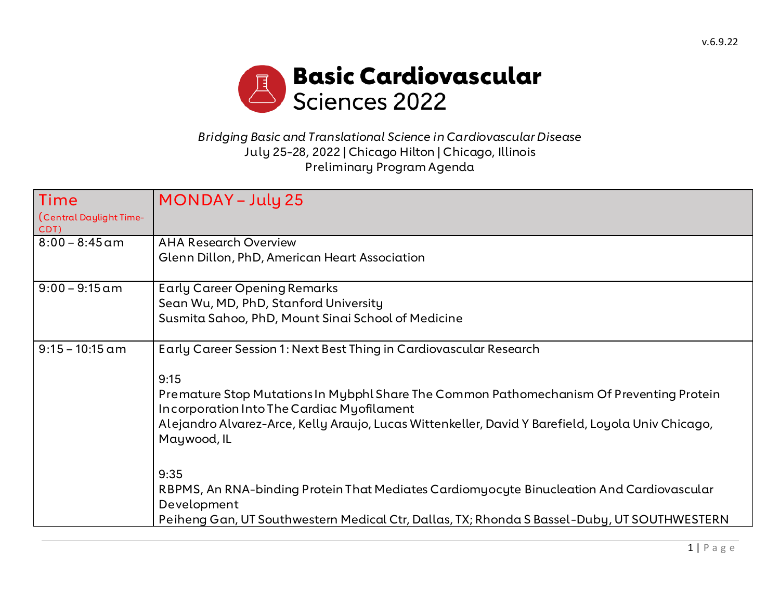

## *Bridging Basic and Translational Science in Cardiovascular Disease* July 25-28, 2022 | Chicago Hilton | Chicago, Illinois Preliminary Program Agenda

| Time<br>Central Daylight Time-<br>CDT) | <b>MONDAY – July 25</b>                                                                                                                                                                                                                                                                                                                          |
|----------------------------------------|--------------------------------------------------------------------------------------------------------------------------------------------------------------------------------------------------------------------------------------------------------------------------------------------------------------------------------------------------|
| $8:00 - 8:45$ am                       | <b>AHA Research Overview</b><br>Glenn Dillon, PhD, American Heart Association                                                                                                                                                                                                                                                                    |
| $9:00 - 9:15$ am                       | <b>Early Career Opening Remarks</b><br>Sean Wu, MD, PhD, Stanford University<br>Susmita Sahoo, PhD, Mount Sinai School of Medicine                                                                                                                                                                                                               |
| $9:15 - 10:15$ am                      | Early Career Session 1: Next Best Thing in Cardiovascular Research<br>9:15<br>Premature Stop Mutations In Mybphl Share The Common Pathomechanism Of Preventing Protein<br>Incorporation Into The Cardiac Myofilament<br>Alejandro Alvarez-Arce, Kelly Araujo, Lucas Wittenkeller, David Y Barefield, Loyola Univ Chicago,<br>Maywood, IL<br>9:35 |
|                                        | RBPMS, An RNA-binding Protein That Mediates Cardiomyocyte Binucleation And Cardiovascular<br>Development<br>Peiheng Gan, UT Southwestern Medical Ctr, Dallas, TX; Rhonda S Bassel-Duby, UT SOUTHWESTERN                                                                                                                                          |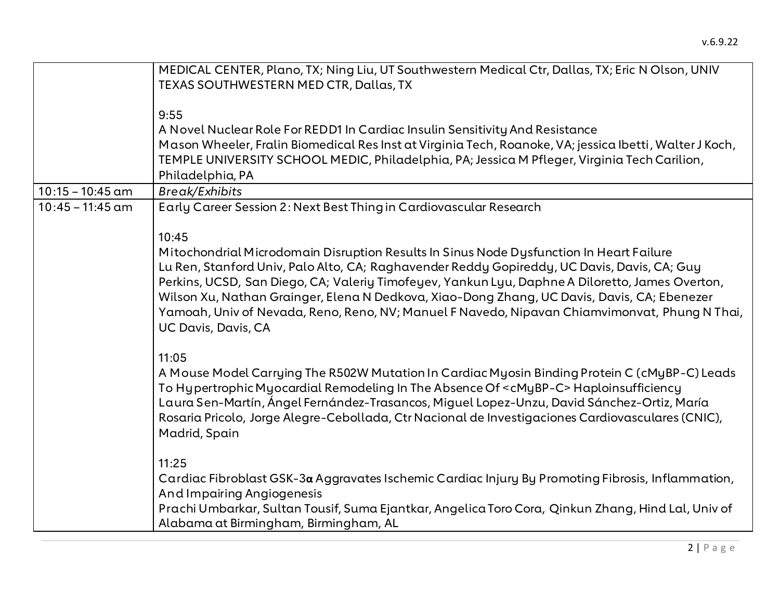|                    | MEDICAL CENTER, Plano, TX; Ning Liu, UT Southwestern Medical Ctr, Dallas, TX; Eric N Olson, UNIV        |
|--------------------|---------------------------------------------------------------------------------------------------------|
|                    | TEXAS SOUTHWESTERN MED CTR, Dallas, TX                                                                  |
|                    |                                                                                                         |
|                    | 9:55                                                                                                    |
|                    | A Novel Nuclear Role For REDD1 In Cardiac Insulin Sensitivity And Resistance                            |
|                    | Mason Wheeler, Fralin Biomedical Res Inst at Virginia Tech, Roanoke, VA; jessica Ibetti, Walter J Koch, |
|                    | TEMPLE UNIVERSITY SCHOOL MEDIC, Philadelphia, PA; Jessica M Pfleger, Virginia Tech Carilion,            |
|                    | Philadelphia, PA                                                                                        |
| $10:15 - 10:45$ am | <b>Break/Exhibits</b>                                                                                   |
| $10:45 - 11:45$ am | Early Career Session 2: Next Best Thing in Cardiovascular Research                                      |
|                    |                                                                                                         |
|                    | 10:45                                                                                                   |
|                    | Mitochondrial Microdomain Disruption Results In Sinus Node Dysfunction In Heart Failure                 |
|                    | Lu Ren, Stanford Univ, Palo Alto, CA; Raghavender Reddy Gopireddy, UC Davis, Davis, CA; Guy             |
|                    | Perkins, UCSD, San Diego, CA; Valeriy Timofeyev, Yankun Lyu, Daphne A Diloretto, James Overton,         |
|                    | Wilson Xu, Nathan Grainger, Elena N Dedkova, Xiao-Dong Zhang, UC Davis, Davis, CA; Ebenezer             |
|                    | Yamoah, Univ of Nevada, Reno, Reno, NV; Manuel F Navedo, Nipavan Chiamvimonvat, Phung N Thai,           |
|                    | UC Davis, Davis, CA                                                                                     |
|                    |                                                                                                         |
|                    | 11:05                                                                                                   |
|                    | A Mouse Model Carrying The R502W Mutation In Cardiac Myosin Binding Protein C (cMyBP-C) Leads           |
|                    | To Hypertrophic Myocardial Remodeling In The Absence Of <cmybp-c>Haploinsufficiency</cmybp-c>           |
|                    | Laura Sen-Martín, Ángel Fernández-Trasancos, Miguel Lopez-Unzu, David Sánchez-Ortiz, María              |
|                    | Rosaria Pricolo, Jorge Alegre-Cebollada, Ctr Nacional de Investigaciones Cardiovasculares (CNIC),       |
|                    | Madrid, Spain                                                                                           |
|                    |                                                                                                         |
|                    | 11:25                                                                                                   |
|                    | Cardiac Fibroblast GSK-3a Aggravates Ischemic Cardiac Injury By Promoting Fibrosis, Inflammation,       |
|                    | <b>And Impairing Angiogenesis</b>                                                                       |
|                    | Prachi Umbarkar, Sultan Tousif, Suma Ejantkar, Angelica Toro Cora, Qinkun Zhang, Hind Lal, Univ of      |
|                    | Alabama at Birmingham, Birmingham, AL                                                                   |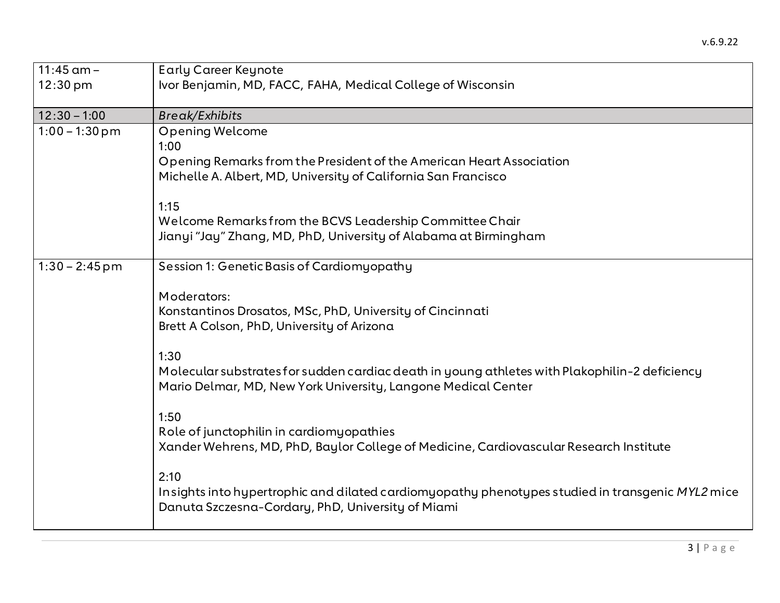| $11:45$ am $-$<br>$12:30 \text{ pm}$ | <b>Early Career Keynote</b><br>Ivor Benjamin, MD, FACC, FAHA, Medical College of Wisconsin                                                                                                                                                                                                                                                                                                                                                                                                                                                                                                                                                                    |
|--------------------------------------|---------------------------------------------------------------------------------------------------------------------------------------------------------------------------------------------------------------------------------------------------------------------------------------------------------------------------------------------------------------------------------------------------------------------------------------------------------------------------------------------------------------------------------------------------------------------------------------------------------------------------------------------------------------|
| $12:30 - 1:00$                       | <b>Break/Exhibits</b>                                                                                                                                                                                                                                                                                                                                                                                                                                                                                                                                                                                                                                         |
| $1:00 - 1:30$ pm                     | <b>Opening Welcome</b><br>1:00<br>Opening Remarks from the President of the American Heart Association<br>Michelle A. Albert, MD, University of California San Francisco<br>1:15<br>Welcome Remarks from the BCVS Leadership Committee Chair<br>Jianyi "Jay" Zhang, MD, PhD, University of Alabama at Birmingham                                                                                                                                                                                                                                                                                                                                              |
| $1:30 - 2:45$ pm                     | Session 1: Genetic Basis of Cardiomyopathy<br>Moderators:<br>Konstantinos Drosatos, MSc, PhD, University of Cincinnati<br>Brett A Colson, PhD, University of Arizona<br>1:30<br>Molecular substrates for sudden cardiac death in young athletes with Plakophilin-2 deficiency<br>Mario Delmar, MD, New York University, Langone Medical Center<br>1:50<br>Role of junctophilin in cardiomyopathies<br>Xander Wehrens, MD, PhD, Baylor College of Medicine, Cardiovascular Research Institute<br>2:10<br>Insights into hypertrophic and dilated cardiomyopathy phenotypes studied in transgenic MYL2 mice<br>Danuta Szczesna-Cordary, PhD, University of Miami |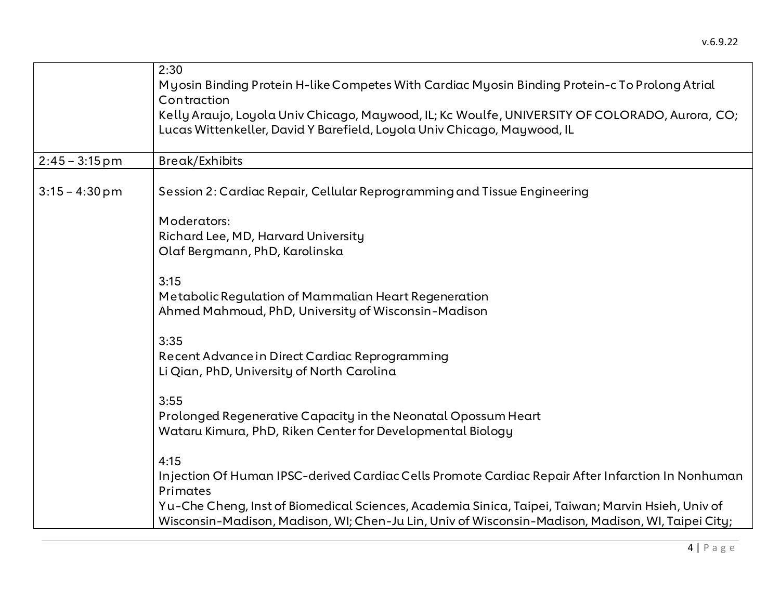|                  | 2:30<br>Myosin Binding Protein H-like Competes With Cardiac Myosin Binding Protein-c To Prolong Atrial<br>Contraction<br>Kelly Araujo, Loyola Univ Chicago, Maywood, IL; Kc Woulfe, UNIVERSITY OF COLORADO, Aurora, CO;<br>Lucas Wittenkeller, David Y Barefield, Loyola Univ Chicago, Maywood, IL                              |
|------------------|---------------------------------------------------------------------------------------------------------------------------------------------------------------------------------------------------------------------------------------------------------------------------------------------------------------------------------|
| $2:45 - 3:15$ pm | Break/Exhibits                                                                                                                                                                                                                                                                                                                  |
| $3:15 - 4:30$ pm | Session 2: Cardiac Repair, Cellular Reprogramming and Tissue Engineering                                                                                                                                                                                                                                                        |
|                  | Moderators:<br>Richard Lee, MD, Harvard University<br>Olaf Bergmann, PhD, Karolinska                                                                                                                                                                                                                                            |
|                  | 3:15<br>Metabolic Regulation of Mammalian Heart Regeneration<br>Ahmed Mahmoud, PhD, University of Wisconsin-Madison                                                                                                                                                                                                             |
|                  | 3:35<br>Recent Advance in Direct Cardiac Reprogramming<br>Li Qian, PhD, University of North Carolina                                                                                                                                                                                                                            |
|                  | 3:55<br>Prolonged Regenerative Capacity in the Neonatal Opossum Heart<br>Wataru Kimura, PhD, Riken Center for Developmental Biology                                                                                                                                                                                             |
|                  | 4:15<br>Injection Of Human IPSC-derived Cardiac Cells Promote Cardiac Repair After Infarction In Nonhuman<br>Primates<br>Yu-Che Cheng, Inst of Biomedical Sciences, Academia Sinica, Taipei, Taiwan; Marvin Hsieh, Univ of<br>Wisconsin-Madison, Madison, WI; Chen-Ju Lin, Univ of Wisconsin-Madison, Madison, WI, Taipei City; |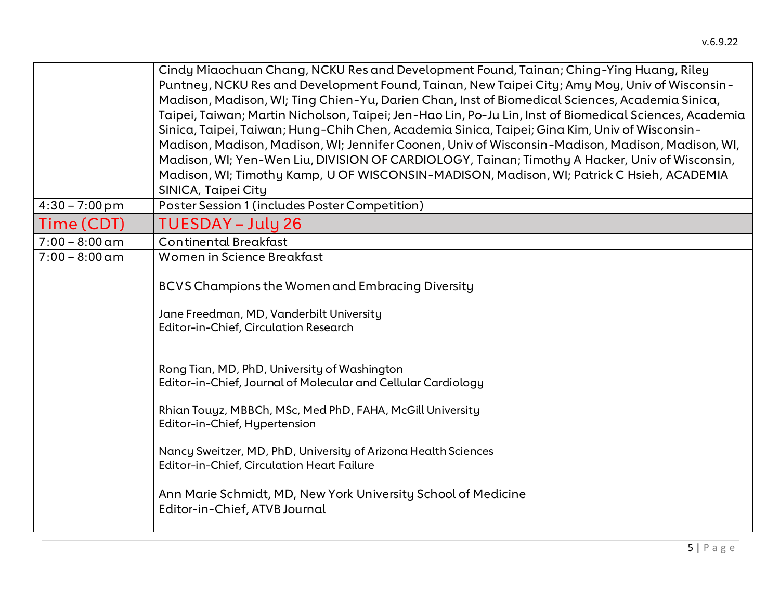|                          | Cindy Miaochuan Chang, NCKU Res and Development Found, Tainan; Ching-Ying Huang, Riley                  |
|--------------------------|---------------------------------------------------------------------------------------------------------|
|                          | Puntney, NCKU Res and Development Found, Tainan, New Taipei City; Amy Moy, Univ of Wisconsin-           |
|                          | Madison, Madison, WI; Ting Chien-Yu, Darien Chan, Inst of Biomedical Sciences, Academia Sinica,         |
|                          | Taipei, Taiwan; Martin Nicholson, Taipei; Jen-Hao Lin, Po-Ju Lin, Inst of Biomedical Sciences, Academia |
|                          | Sinica, Taipei, Taiwan; Hung-Chih Chen, Academia Sinica, Taipei; Gina Kim, Univ of Wisconsin-           |
|                          | Madison, Madison, Madison, WI; Jennifer Coonen, Univ of Wisconsin-Madison, Madison, Madison, WI,        |
|                          | Madison, WI; Yen-Wen Liu, DIVISION OF CARDIOLOGY, Tainan; Timothy A Hacker, Univ of Wisconsin,          |
|                          | Madison, WI; Timothy Kamp, U OF WISCONSIN-MADISON, Madison, WI; Patrick C Hsieh, ACADEMIA               |
|                          | SINICA, Taipei City                                                                                     |
| $4:30 - 7:00 \text{ pm}$ | Poster Session 1 (includes Poster Competition)                                                          |
| Time (CDT)               | TUESDAY – July 26                                                                                       |
| $7:00 - 8:00$ am         | <b>Continental Breakfast</b>                                                                            |
| $7:00 - 8:00$ am         | Women in Science Breakfast                                                                              |
|                          |                                                                                                         |
|                          | <b>BCVS Champions the Women and Embracing Diversity</b>                                                 |
|                          | Jane Freedman, MD, Vanderbilt University                                                                |
|                          | Editor-in-Chief, Circulation Research                                                                   |
|                          |                                                                                                         |
|                          |                                                                                                         |
|                          | Rong Tian, MD, PhD, University of Washington                                                            |
|                          | Editor-in-Chief, Journal of Molecular and Cellular Cardiology                                           |
|                          | Rhian Touyz, MBBCh, MSc, Med PhD, FAHA, McGill University                                               |
|                          | Editor-in-Chief, Hypertension                                                                           |
|                          |                                                                                                         |
|                          | Nancy Sweitzer, MD, PhD, University of Arizona Health Sciences                                          |
|                          | <b>Editor-in-Chief, Circulation Heart Failure</b>                                                       |
|                          |                                                                                                         |
|                          | Ann Marie Schmidt, MD, New York University School of Medicine                                           |
|                          | Editor-in-Chief, ATVB Journal                                                                           |
|                          |                                                                                                         |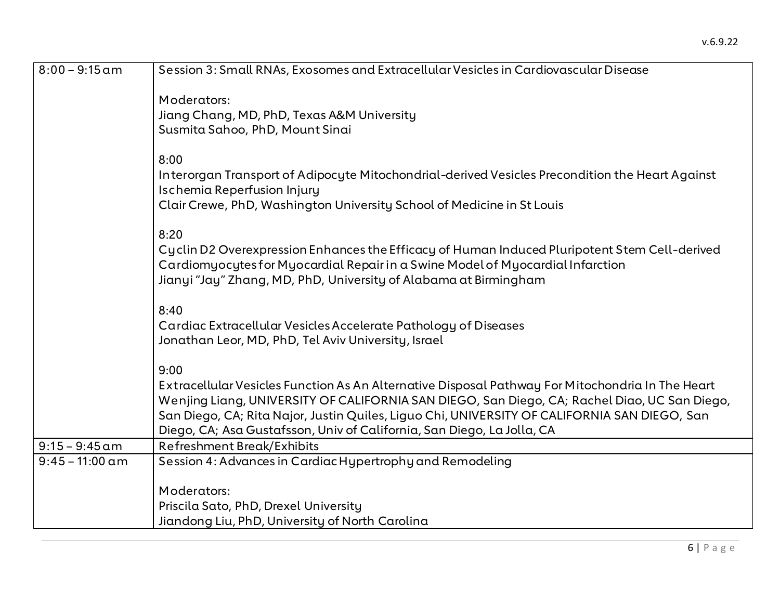| $8:00 - 9:15$ am  | Session 3: Small RNAs, Exosomes and Extracellular Vesicles in Cardiovascular Disease                                                                                                                                                                                                                                                                                               |
|-------------------|------------------------------------------------------------------------------------------------------------------------------------------------------------------------------------------------------------------------------------------------------------------------------------------------------------------------------------------------------------------------------------|
|                   | Moderators:<br>Jiang Chang, MD, PhD, Texas A&M University<br>Susmita Sahoo, PhD, Mount Sinai                                                                                                                                                                                                                                                                                       |
|                   | 8:00<br>Interorgan Transport of Adipocyte Mitochondrial-derived Vesicles Precondition the Heart Against<br>Ischemia Reperfusion Injury<br>Clair Crewe, PhD, Washington University School of Medicine in St Louis                                                                                                                                                                   |
|                   | 8:20<br>Cyclin D2 Overexpression Enhances the Efficacy of Human Induced Pluripotent Stem Cell-derived<br>Cardiomyocytes for Myocardial Repair in a Swine Model of Myocardial Infarction<br>Jianyi "Jay" Zhang, MD, PhD, University of Alabama at Birmingham                                                                                                                        |
|                   | 8:40<br>Cardiac Extracellular Vesicles Accelerate Pathology of Diseases<br>Jonathan Leor, MD, PhD, Tel Aviv University, Israel                                                                                                                                                                                                                                                     |
|                   | 9:00<br>Extracellular Vesicles Function As An Alternative Disposal Pathway For Mitochondria In The Heart<br>Wenjing Liang, UNIVERSITY OF CALIFORNIA SAN DIEGO, San Diego, CA; Rachel Diao, UC San Diego,<br>San Diego, CA; Rita Najor, Justin Quiles, Liguo Chi, UNIVERSITY OF CALIFORNIA SAN DIEGO, San<br>Diego, CA; Asa Gustafsson, Univ of California, San Diego, La Jolla, CA |
| $9:15 - 9:45$ am  | Refreshment Break/Exhibits                                                                                                                                                                                                                                                                                                                                                         |
| $9:45 - 11:00$ am | Session 4: Advances in Cardiac Hypertrophy and Remodeling                                                                                                                                                                                                                                                                                                                          |
|                   | Moderators:<br>Priscila Sato, PhD, Drexel University<br>Jiandong Liu, PhD, University of North Carolina                                                                                                                                                                                                                                                                            |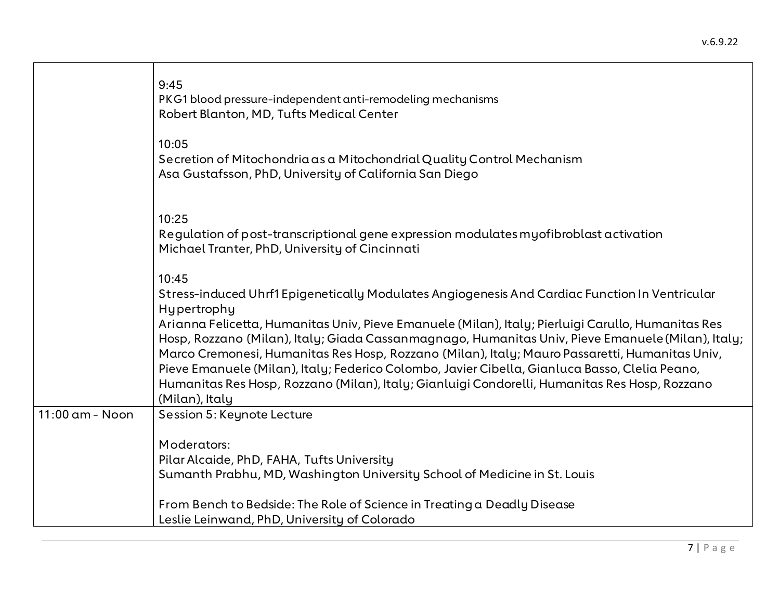|                   | 9:45<br>PKG1 blood pressure-independent anti-remodeling mechanisms<br>Robert Blanton, MD, Tufts Medical Center                                                                                                                                                                                                                                                                                                                                                                                                                                                                                                                                           |
|-------------------|----------------------------------------------------------------------------------------------------------------------------------------------------------------------------------------------------------------------------------------------------------------------------------------------------------------------------------------------------------------------------------------------------------------------------------------------------------------------------------------------------------------------------------------------------------------------------------------------------------------------------------------------------------|
|                   | 10:05<br>Secretion of Mitochondria as a Mitochondrial Quality Control Mechanism<br>Asa Gustafsson, PhD, University of California San Diego                                                                                                                                                                                                                                                                                                                                                                                                                                                                                                               |
|                   | 10:25<br>Regulation of post-transcriptional gene expression modulates myofibroblast activation<br>Michael Tranter, PhD, University of Cincinnati                                                                                                                                                                                                                                                                                                                                                                                                                                                                                                         |
|                   | 10:45<br>Stress-induced Uhrf1 Epigenetically Modulates Angiogenesis And Cardiac Function In Ventricular<br>Hypertrophy<br>Arianna Felicetta, Humanitas Univ, Pieve Emanuele (Milan), Italy; Pierluigi Carullo, Humanitas Res<br>Hosp, Rozzano (Milan), Italy; Giada Cassanmagnago, Humanitas Univ, Pieve Emanuele (Milan), Italy;<br>Marco Cremonesi, Humanitas Res Hosp, Rozzano (Milan), Italy; Mauro Passaretti, Humanitas Univ,<br>Pieve Emanuele (Milan), Italy; Federico Colombo, Javier Cibella, Gianluca Basso, Clelia Peano,<br>Humanitas Res Hosp, Rozzano (Milan), Italy; Gianluigi Condorelli, Humanitas Res Hosp, Rozzano<br>(Milan), Italy |
| $11:00$ am - Noon | Session 5: Keynote Lecture<br>Moderators:<br>Pilar Alcaide, PhD, FAHA, Tufts University                                                                                                                                                                                                                                                                                                                                                                                                                                                                                                                                                                  |
|                   | Sumanth Prabhu, MD, Washington University School of Medicine in St. Louis<br>From Bench to Bedside: The Role of Science in Treating a Deadly Disease<br>Leslie Leinwand, PhD, University of Colorado                                                                                                                                                                                                                                                                                                                                                                                                                                                     |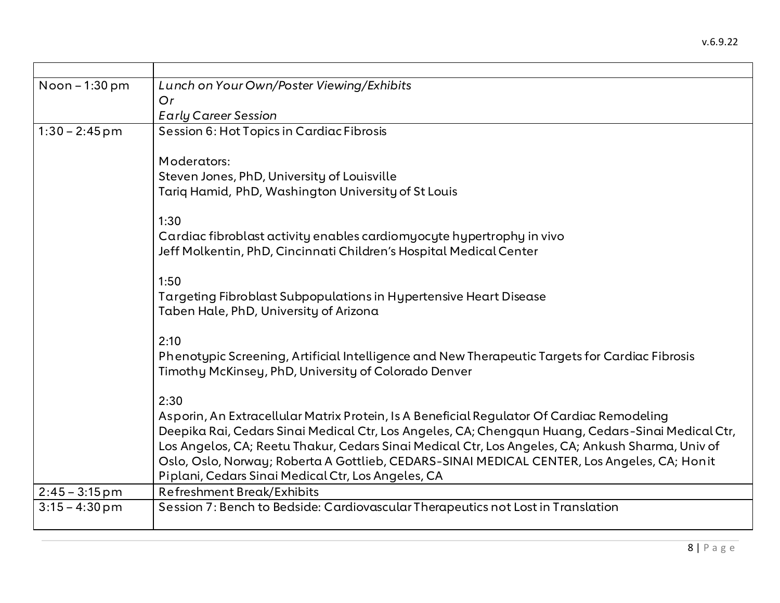| Lunch on Your Own/Poster Viewing/Exhibits                                                                                                              |
|--------------------------------------------------------------------------------------------------------------------------------------------------------|
| Or                                                                                                                                                     |
| <b>Early Career Session</b>                                                                                                                            |
| Session 6: Hot Topics in Cardiac Fibrosis                                                                                                              |
| Moderators:                                                                                                                                            |
| Steven Jones, PhD, University of Louisville                                                                                                            |
| Tariq Hamid, PhD, Washington University of St Louis                                                                                                    |
| 1:30                                                                                                                                                   |
| Cardiac fibroblast activity enables cardiomy ocyte hypertrophy in vivo                                                                                 |
| Jeff Molkentin, PhD, Cincinnati Children's Hospital Medical Center                                                                                     |
| 1:50                                                                                                                                                   |
| Targeting Fibroblast Subpopulations in Hypertensive Heart Disease                                                                                      |
| Taben Hale, PhD, University of Arizona                                                                                                                 |
| 2:10                                                                                                                                                   |
| Phenotypic Screening, Artificial Intelligence and New Therapeutic Targets for Cardiac Fibrosis<br>Timothy McKinsey, PhD, University of Colorado Denver |
| 2:30                                                                                                                                                   |
| Asporin, An Extracellular Matrix Protein, Is A Beneficial Regulator Of Cardiac Remodeling                                                              |
| Deepika Rai, Cedars Sinai Medical Ctr, Los Angeles, CA; Chengqun Huang, Cedars-Sinai Medical Ctr,                                                      |
| Los Angelos, CA; Reetu Thakur, Cedars Sinai Medical Ctr, Los Angeles, CA; Ankush Sharma, Univ of                                                       |
| Oslo, Oslo, Norway; Roberta A Gottlieb, CEDARS-SINAI MEDICAL CENTER, Los Angeles, CA; Honit                                                            |
| Piplani, Cedars Sinai Medical Ctr, Los Angeles, CA                                                                                                     |
| Refreshment Break/Exhibits                                                                                                                             |
| Session 7: Bench to Bedside: Cardiovascular Therapeutics not Lost in Translation                                                                       |
|                                                                                                                                                        |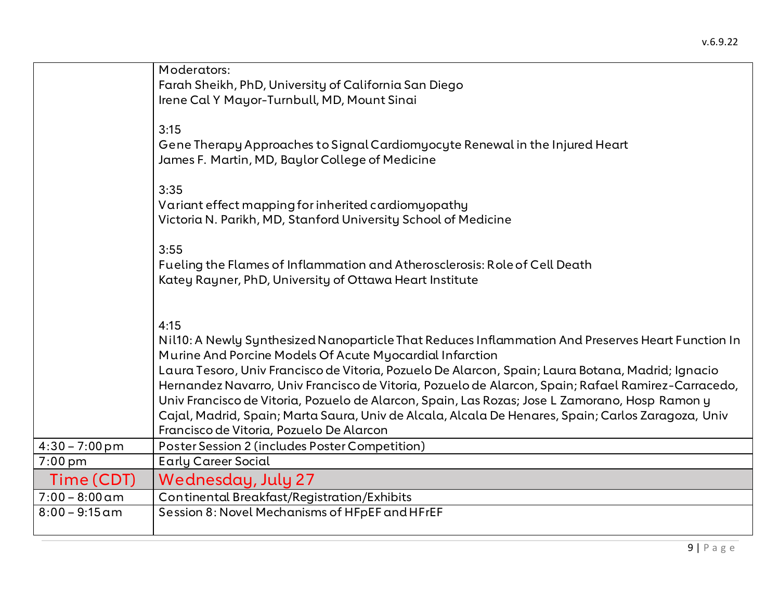|                          | Moderators:                                                                                                                                                                                                                                                                                                                                                                                                                                                                                                                                                                                                                          |
|--------------------------|--------------------------------------------------------------------------------------------------------------------------------------------------------------------------------------------------------------------------------------------------------------------------------------------------------------------------------------------------------------------------------------------------------------------------------------------------------------------------------------------------------------------------------------------------------------------------------------------------------------------------------------|
|                          | Farah Sheikh, PhD, University of California San Diego                                                                                                                                                                                                                                                                                                                                                                                                                                                                                                                                                                                |
|                          | Irene Cal Y Mayor-Turnbull, MD, Mount Sinai                                                                                                                                                                                                                                                                                                                                                                                                                                                                                                                                                                                          |
|                          | 3:15<br>Gene Therapy Approaches to Signal Cardiomyocyte Renewal in the Injured Heart<br>James F. Martin, MD, Baylor College of Medicine                                                                                                                                                                                                                                                                                                                                                                                                                                                                                              |
|                          | 3:35<br>Variant effect mapping for inherited cardiomyopathy<br>Victoria N. Parikh, MD, Stanford University School of Medicine                                                                                                                                                                                                                                                                                                                                                                                                                                                                                                        |
|                          | 3:55<br>Fueling the Flames of Inflammation and Atherosclerosis: Role of Cell Death<br>Katey Rayner, PhD, University of Ottawa Heart Institute                                                                                                                                                                                                                                                                                                                                                                                                                                                                                        |
|                          | 4:15<br>Nil10: A Newly Synthesized Nanoparticle That Reduces Inflammation And Preserves Heart Function In<br>Murine And Porcine Models Of Acute Myocardial Infarction<br>Laura Tesoro, Univ Francisco de Vitoria, Pozuelo De Alarcon, Spain; Laura Botana, Madrid; Ignacio<br>Hernandez Navarro, Univ Francisco de Vitoria, Pozuelo de Alarcon, Spain; Rafael Ramirez-Carracedo,<br>Univ Francisco de Vitoria, Pozuelo de Alarcon, Spain, Las Rozas; Jose L Zamorano, Hosp Ramon y<br>Cajal, Madrid, Spain; Marta Saura, Univ de Alcala, Alcala De Henares, Spain; Carlos Zaragoza, Univ<br>Francisco de Vitoria, Pozuelo De Alarcon |
| $4:30 - 7:00 \text{ pm}$ | Poster Session 2 (includes Poster Competition)                                                                                                                                                                                                                                                                                                                                                                                                                                                                                                                                                                                       |
| $7:00$ pm                | <b>Early Career Social</b>                                                                                                                                                                                                                                                                                                                                                                                                                                                                                                                                                                                                           |
| Time (CDT)               | <b>Wednesday, July 27</b>                                                                                                                                                                                                                                                                                                                                                                                                                                                                                                                                                                                                            |
| $7:00 - 8:00$ am         | Continental Breakfast/Registration/Exhibits                                                                                                                                                                                                                                                                                                                                                                                                                                                                                                                                                                                          |
| $8:00 - 9:15$ am         | Session 8: Novel Mechanisms of HFpEF and HFrEF                                                                                                                                                                                                                                                                                                                                                                                                                                                                                                                                                                                       |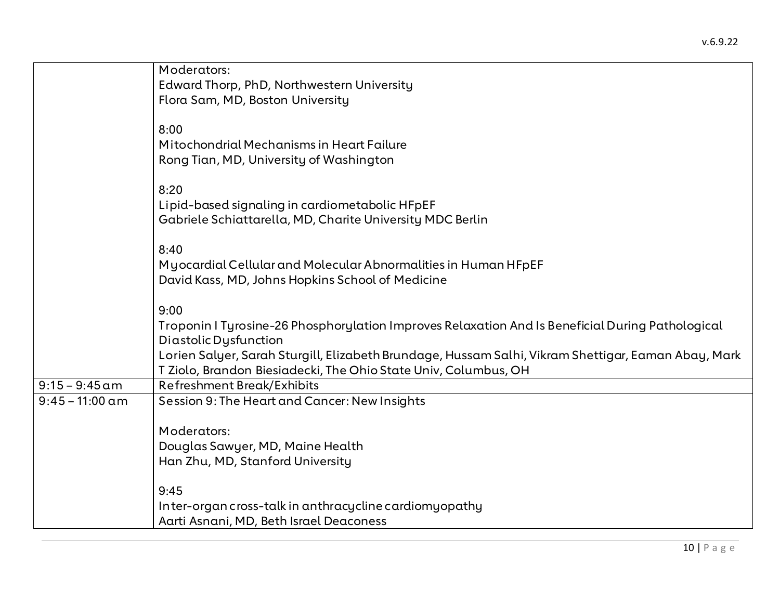|                   | Moderators:                                                                                         |
|-------------------|-----------------------------------------------------------------------------------------------------|
|                   | Edward Thorp, PhD, Northwestern University                                                          |
|                   | Flora Sam, MD, Boston University                                                                    |
|                   |                                                                                                     |
|                   | 8:00                                                                                                |
|                   | Mitochondrial Mechanisms in Heart Failure                                                           |
|                   | Rong Tian, MD, University of Washington                                                             |
|                   |                                                                                                     |
|                   | 8:20                                                                                                |
|                   | Lipid-based signaling in cardiometabolic HFpEF                                                      |
|                   | Gabriele Schiattarella, MD, Charite University MDC Berlin                                           |
|                   |                                                                                                     |
|                   | 8:40                                                                                                |
|                   | My ocardial Cellular and Molecular Abnormalities in Human HFpEF                                     |
|                   | David Kass, MD, Johns Hopkins School of Medicine                                                    |
|                   |                                                                                                     |
|                   | 9:00                                                                                                |
|                   | Troponin I Tyrosine-26 Phosphorylation Improves Relaxation And Is Beneficial During Pathological    |
|                   | Diastolic Dysfunction                                                                               |
|                   | Lorien Salyer, Sarah Sturgill, Elizabeth Brundage, Hussam Salhi, Vikram Shettigar, Eaman Abay, Mark |
|                   | T Ziolo, Brandon Biesiadecki, The Ohio State Univ, Columbus, OH                                     |
| $9:15 - 9:45$ am  | <b>Refreshment Break/Exhibits</b>                                                                   |
| $9:45 - 11:00$ am | Session 9: The Heart and Cancer: New Insights                                                       |
|                   |                                                                                                     |
|                   | Moderators:                                                                                         |
|                   | Douglas Sawyer, MD, Maine Health                                                                    |
|                   | Han Zhu, MD, Stanford University                                                                    |
|                   |                                                                                                     |
|                   | 9:45                                                                                                |
|                   | Inter-organ cross-talk in anthracycline cardiomyopathy                                              |
|                   | Aarti Asnani, MD, Beth Israel Deaconess                                                             |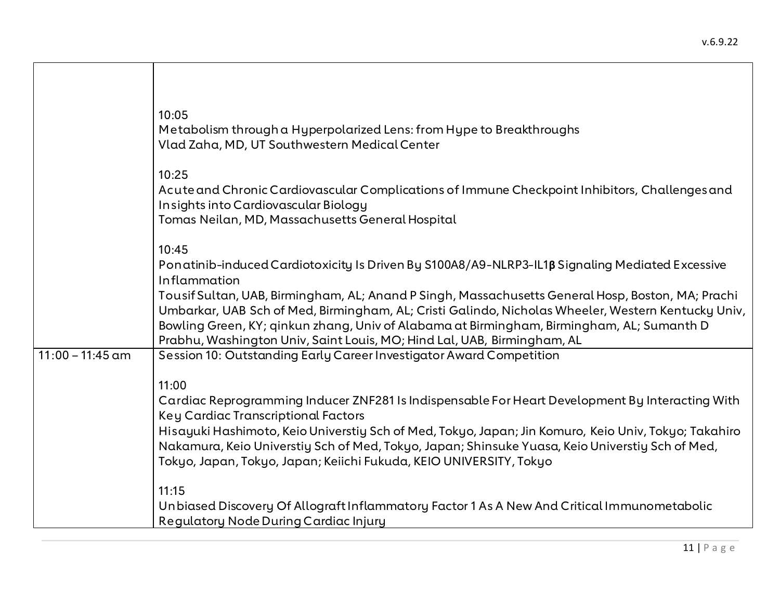|                    | 10:05<br>Metabolism through a Hyperpolarized Lens: from Hype to Breakthroughs<br>Vlad Zaha, MD, UT Southwestern Medical Center                                                                                                                                                                                                                                                  |
|--------------------|---------------------------------------------------------------------------------------------------------------------------------------------------------------------------------------------------------------------------------------------------------------------------------------------------------------------------------------------------------------------------------|
|                    | 10:25<br>Acute and Chronic Cardiovascular Complications of Immune Checkpoint Inhibitors, Challenges and<br>Insights into Cardiovascular Biology<br>Tomas Neilan, MD, Massachusetts General Hospital                                                                                                                                                                             |
|                    | 10:45<br>Ponatinib-induced Cardiotoxicity Is Driven By S100A8/A9-NLRP3-IL1B Signaling Mediated Excessive<br>Inflammation                                                                                                                                                                                                                                                        |
|                    | Tousif Sultan, UAB, Birmingham, AL; Anand P Singh, Massachusetts General Hosp, Boston, MA; Prachi<br>Umbarkar, UAB Sch of Med, Birmingham, AL; Cristi Galindo, Nicholas Wheeler, Western Kentucky Univ,<br>Bowling Green, KY; qinkun zhang, Univ of Alabama at Birmingham, Birmingham, AL; Sumanth D<br>Prabhu, Washington Univ, Saint Louis, MO; Hind Lal, UAB, Birmingham, AL |
| $11:00 - 11:45$ am | Session 10: Outstanding Early Career Investigator Award Competition                                                                                                                                                                                                                                                                                                             |
|                    | 11:00<br>Cardiac Reprogramming Inducer ZNF281 Is Indispensable For Heart Development By Interacting With<br>Key Cardiac Transcriptional Factors                                                                                                                                                                                                                                 |
|                    | Hisayuki Hashimoto, Keio Universtiy Sch of Med, Tokyo, Japan; Jin Komuro, Keio Univ, Tokyo; Takahiro<br>Nakamura, Keio Universtiy Sch of Med, Tokyo, Japan; Shinsuke Yuasa, Keio Universtiy Sch of Med,<br>Tokyo, Japan, Tokyo, Japan; Keiichi Fukuda, KEIO UNIVERSITY, Tokyo                                                                                                   |
|                    | 11:15<br>Unbiased Discovery Of Allograft Inflammatory Factor 1 As A New And Critical Immunometabolic<br>Regulatory Node During Cardiac Injury                                                                                                                                                                                                                                   |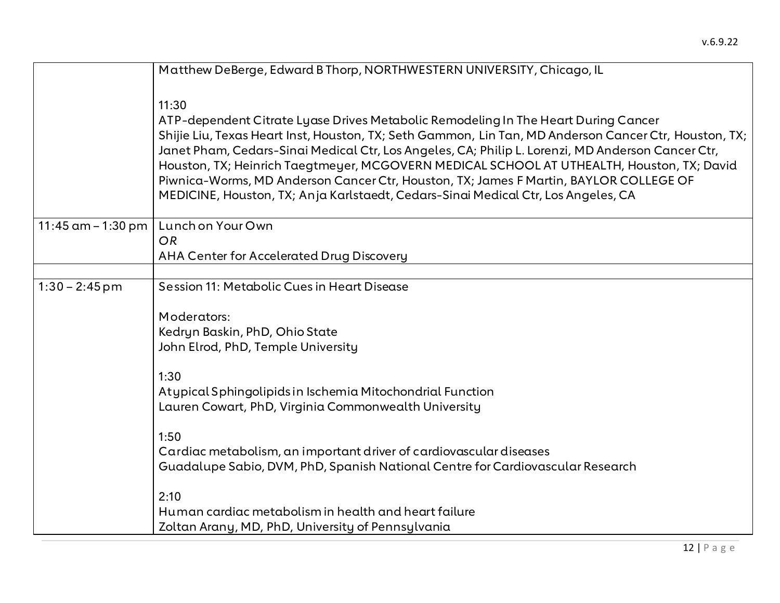|                       | Matthew DeBerge, Edward B Thorp, NORTHWESTERN UNIVERSITY, Chicago, IL                                 |
|-----------------------|-------------------------------------------------------------------------------------------------------|
|                       |                                                                                                       |
|                       | 11:30                                                                                                 |
|                       | ATP-dependent Citrate Lyase Drives Metabolic Remodeling In The Heart During Cancer                    |
|                       | Shijie Liu, Texas Heart Inst, Houston, TX; Seth Gammon, Lin Tan, MD Anderson Cancer Ctr, Houston, TX; |
|                       | Janet Pham, Cedars-Sinai Medical Ctr, Los Angeles, CA; Philip L. Lorenzi, MD Anderson Cancer Ctr,     |
|                       | Houston, TX; Heinrich Taegtmeyer, MCGOVERN MEDICAL SCHOOL AT UTHEALTH, Houston, TX; David             |
|                       | Piwnica-Worms, MD Anderson Cancer Ctr, Houston, TX; James F Martin, BAYLOR COLLEGE OF                 |
|                       | MEDICINE, Houston, TX; Anja Karlstaedt, Cedars-Sinai Medical Ctr, Los Angeles, CA                     |
|                       |                                                                                                       |
| $11:45$ am $-1:30$ pm | Lunch on Your Own                                                                                     |
|                       | <b>OR</b>                                                                                             |
|                       | AHA Center for Accelerated Drug Discovery                                                             |
|                       |                                                                                                       |
| $1:30 - 2:45$ pm      | Session 11: Metabolic Cues in Heart Disease                                                           |
|                       | Moderators:                                                                                           |
|                       |                                                                                                       |
|                       | Kedryn Baskin, PhD, Ohio State<br>John Elrod, PhD, Temple University                                  |
|                       |                                                                                                       |
|                       | 1:30                                                                                                  |
|                       | Atypical Sphingolipids in Ischemia Mitochondrial Function                                             |
|                       | Lauren Cowart, PhD, Virginia Commonwealth University                                                  |
|                       |                                                                                                       |
|                       | 1:50                                                                                                  |
|                       | Cardiac metabolism, an important driver of cardiovascular diseases                                    |
|                       | Guadalupe Sabio, DVM, PhD, Spanish National Centre for Cardiovascular Research                        |
|                       |                                                                                                       |
|                       | 2:10                                                                                                  |
|                       | Human cardiac metabolism in health and heart failure                                                  |
|                       | Zoltan Arany, MD, PhD, University of Pennsylvania                                                     |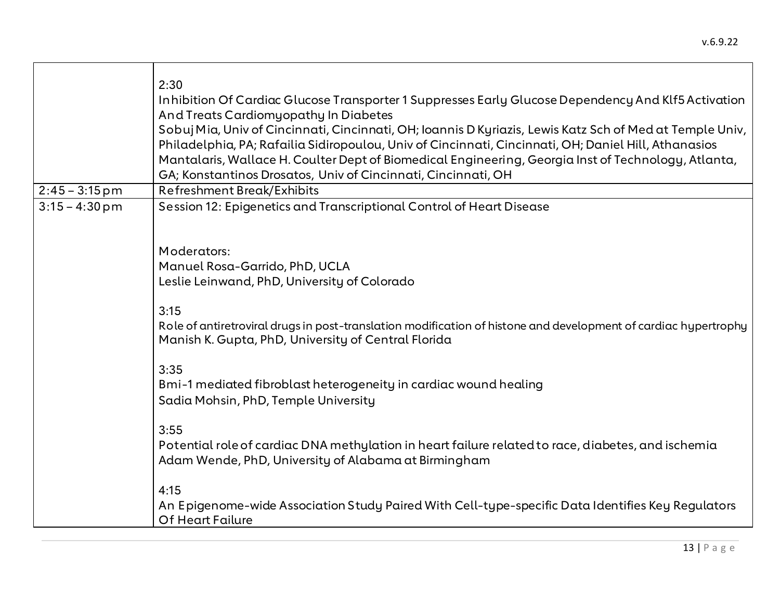|                  | 2:30<br>Inhibition Of Cardiac Glucose Transporter 1 Suppresses Early Glucose Dependency And Klf5 Activation<br>And Treats Cardiomyopathy In Diabetes<br>Sobuj Mia, Univ of Cincinnati, Cincinnati, OH; Ioannis D Kyriazis, Lewis Katz Sch of Med at Temple Univ,<br>Philadelphia, PA; Rafailia Sidiropoulou, Univ of Cincinnati, Cincinnati, OH; Daniel Hill, Athanasios<br>Mantalaris, Wallace H. Coulter Dept of Biomedical Engineering, Georgia Inst of Technology, Atlanta,<br>GA; Konstantinos Drosatos, Univ of Cincinnati, Cincinnati, OH |
|------------------|--------------------------------------------------------------------------------------------------------------------------------------------------------------------------------------------------------------------------------------------------------------------------------------------------------------------------------------------------------------------------------------------------------------------------------------------------------------------------------------------------------------------------------------------------|
| $2:45 - 3:15$ pm | <b>Refreshment Break/Exhibits</b>                                                                                                                                                                                                                                                                                                                                                                                                                                                                                                                |
| $3:15 - 4:30$ pm | Session 12: Epigenetics and Transcriptional Control of Heart Disease                                                                                                                                                                                                                                                                                                                                                                                                                                                                             |
|                  | Moderators:                                                                                                                                                                                                                                                                                                                                                                                                                                                                                                                                      |
|                  | Manuel Rosa-Garrido, PhD, UCLA                                                                                                                                                                                                                                                                                                                                                                                                                                                                                                                   |
|                  | Leslie Leinwand, PhD, University of Colorado                                                                                                                                                                                                                                                                                                                                                                                                                                                                                                     |
|                  |                                                                                                                                                                                                                                                                                                                                                                                                                                                                                                                                                  |
|                  | 3:15<br>Role of antiretroviral drugs in post-translation modification of histone and development of cardiac hypertrophy<br>Manish K. Gupta, PhD, University of Central Florida                                                                                                                                                                                                                                                                                                                                                                   |
|                  | 3:35<br>Bmi-1 mediated fibroblast heterogeneity in cardiac wound healing<br>Sadia Mohsin, PhD, Temple University                                                                                                                                                                                                                                                                                                                                                                                                                                 |
|                  | 3:55<br>Potential role of cardiac DNA methylation in heart failure related to race, diabetes, and ischemia<br>Adam Wende, PhD, University of Alabama at Birmingham                                                                                                                                                                                                                                                                                                                                                                               |
|                  | 4:15<br>An Epigenome-wide Association Study Paired With Cell-type-specific Data Identifies Key Regulators<br>Of Heart Failure                                                                                                                                                                                                                                                                                                                                                                                                                    |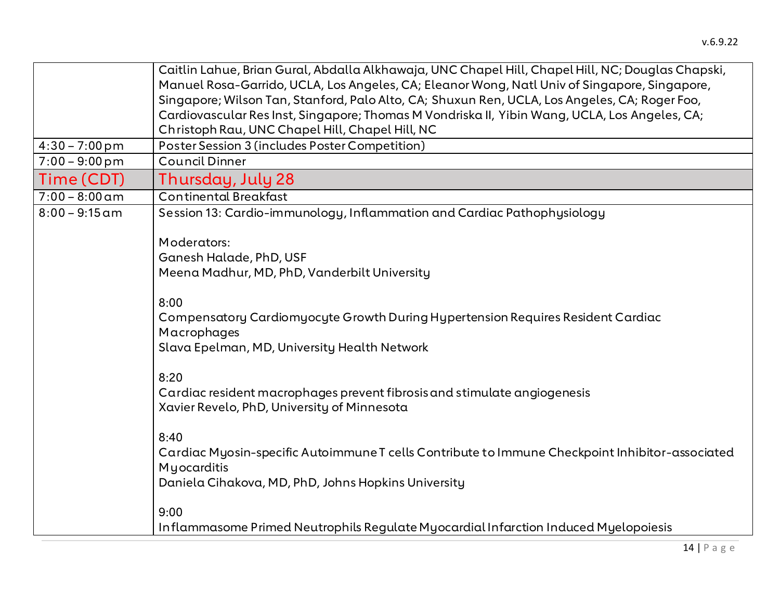|                  | Caitlin Lahue, Brian Gural, Abdalla Alkhawaja, UNC Chapel Hill, Chapel Hill, NC; Douglas Chapski, |
|------------------|---------------------------------------------------------------------------------------------------|
|                  | Manuel Rosa-Garrido, UCLA, Los Angeles, CA; Eleanor Wong, Natl Univ of Singapore, Singapore,      |
|                  | Singapore; Wilson Tan, Stanford, Palo Alto, CA; Shuxun Ren, UCLA, Los Angeles, CA; Roger Foo,     |
|                  | Cardiovascular Res Inst, Singapore; Thomas M Vondriska II, Yibin Wang, UCLA, Los Angeles, CA;     |
|                  | Christoph Rau, UNC Chapel Hill, Chapel Hill, NC                                                   |
| $4:30 - 7:00$ pm | Poster Session 3 (includes Poster Competition)                                                    |
| $7:00 - 9:00$ pm | <b>Council Dinner</b>                                                                             |
| Time (CDT)       | Thursday, July 28                                                                                 |
| $7:00 - 8:00$ am | <b>Continental Breakfast</b>                                                                      |
| $8:00 - 9:15$ am | Session 13: Cardio-immunology, Inflammation and Cardiac Pathophysiology                           |
|                  |                                                                                                   |
|                  | Moderators:                                                                                       |
|                  | Ganesh Halade, PhD, USF                                                                           |
|                  | Meena Madhur, MD, PhD, Vanderbilt University                                                      |
|                  | 8:00                                                                                              |
|                  | Compensatory Cardiomyocyte Growth During Hypertension Requires Resident Cardiac                   |
|                  | Macrophages                                                                                       |
|                  |                                                                                                   |
|                  | Slava Epelman, MD, University Health Network                                                      |
|                  | 8:20                                                                                              |
|                  | Cardiac resident macrophages prevent fibrosis and stimulate angiogenesis                          |
|                  | Xavier Revelo, PhD, University of Minnesota                                                       |
|                  |                                                                                                   |
|                  | 8:40                                                                                              |
|                  | Cardiac Myosin-specific Autoimmune T cells Contribute to Immune Checkpoint Inhibitor-associated   |
|                  | Myocarditis                                                                                       |
|                  | Daniela Cihakova, MD, PhD, Johns Hopkins University                                               |
|                  |                                                                                                   |
|                  | 9:00                                                                                              |
|                  | Inflammasome Primed Neutrophils Regulate Myocardial Infarction Induced Myelopoiesis               |